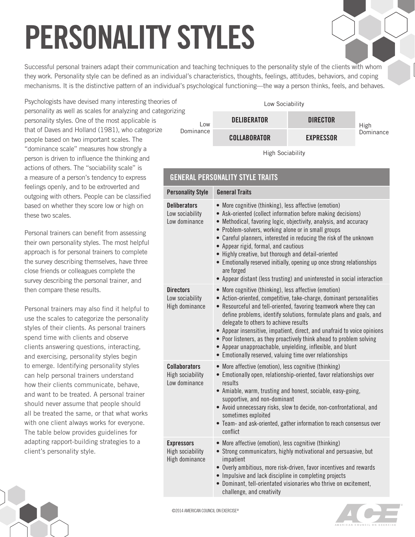## **PERSONALITY STYLES**

Successful personal trainers adapt their communication and teaching techniques to the personality style of the clients with whom they work. Personality style can be defined as an individual's characteristics, thoughts, feelings, attitudes, behaviors, and coping mechanisms. It is the distinctive pattern of an individual's psychological functioning—the way a person thinks, feels, and behaves.

**GENERAL PERSONALITY STYLE TRAITS**

**Directors**

Psychologists have devised many interesting theories of personality as well as scales for analyzing and categorizing personality styles. One of the most applicable is that of Daves and Holland (1981), who categorize people based on two important scales. The "dominance scale" measures how strongly a person is driven to influence the thinking and actions of others. The "sociability scale" is a measure of a person's tendency to express feelings openly, and to be extroverted and outgoing with others. People can be classified based on whether they score low or high on these two scales.

Personal trainers can benefit from assessing their own personality styles. The most helpful approach is for personal trainers to complete the survey describing themselves, have three close friends or colleagues complete the survey describing the personal trainer, and then compare these results.

Personal trainers may also find it helpful to use the scales to categorize the personality styles of their clients. As personal trainers spend time with clients and observe clients answering questions, interacting, and exercising, personality styles begin to emerge. Identifying personality styles can help personal trainers understand how their clients communicate, behave, and want to be treated. A personal trainer should never assume that people should all be treated the same, or that what works with one client always works for everyone. The table below provides guidelines for adapting rapport-building strategies to a client's personality style.

|           | Low Sociability     |                  |           |
|-----------|---------------------|------------------|-----------|
| ٦g<br>Low | <b>DELIBERATOR</b>  | <b>DIRECTOR</b>  | High      |
| Dominance | <b>COLLABORATOR</b> | <b>EXPRESSOR</b> | Dominance |
|           |                     |                  |           |

High Sociability

| <b>GLINERAL FERSUNALITI STILL IRAIIS</b>                |                                                                                                                                                                                                                                                                                                                                                                                                                       |  |  |  |  |
|---------------------------------------------------------|-----------------------------------------------------------------------------------------------------------------------------------------------------------------------------------------------------------------------------------------------------------------------------------------------------------------------------------------------------------------------------------------------------------------------|--|--|--|--|
| <b>Personality Style</b>                                | <b>General Traits</b>                                                                                                                                                                                                                                                                                                                                                                                                 |  |  |  |  |
| <b>Deliberators</b><br>Low sociability<br>Low dominance | • More cognitive (thinking), less affective (emotion)<br>• Ask-oriented (collect information before making decisions)<br>• Methodical, favoring logic, objectivity, analysis, and accuracy<br>• Problem-solvers, working alone or in small groups<br>• Careful planners, interested in reducing the risk of the unknow<br>• Appear rigid, formal, and cautious<br>• Highly creative, but thorough and detail-oriented |  |  |  |  |

## • Emotionally reserved initially, opening up once strong relationships are forged • Appear distant (less trusting) and uninterested in social interaction Low sociability High dominance • More cognitive (thinking), less affective (emotion) • Action-oriented, competitive, take-charge, dominant personalities • Resourceful and tell-oriented, favoring teamwork where they can define problems, identify solutions, formulate plans and goals, and delegate to others to achieve results • Appear insensitive, impatient, direct, and unafraid to voice opinions • Poor listeners, as they proactively think ahead to problem solving

• Appear unapproachable, unyielding, inflexible, and blunt

- Emotionally reserved, valuing time over relationships **Collaborators** High sociability Low dominance • More affective (emotion), less cognitive (thinking) • Emotionally open, relationship-oriented, favor relationships over results • Amiable, warm, trusting and honest, sociable, easy-going, supportive, and non-dominant • Avoid unnecessary risks, slow to decide, non-confrontational, and sometimes exploited • Team- and ask-oriented, gather information to reach consensus over conflict **Expressors** High sociability High dominance • More affective (emotion), less cognitive (thinking) • Strong communicators, highly motivational and persuasive, but impatient • Overly ambitious, more risk-driven, favor incentives and rewards
	- Impulsive and lack discipline in completing projects
	- Dominant, tell-orientated visionaries who thrive on excitement, challenge, and creativity



unknown

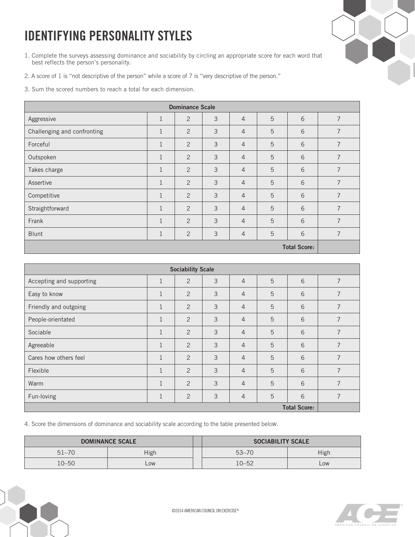## **IDENTIFYING PERSONALITY STYLES**

- 1. Complete the surveys assessing dominance and sociability by circling an appropriate score for each word that best reflects the person's personality.
- 2. A score of 1 is "not descriptive of the person" while a score of 7 is "very descriptive of the person."
- 3. Sum the scored numbers to reach a total for each dimension.

| <b>Dominance Scale</b>      |              |                |   |                |   |                     |                |
|-----------------------------|--------------|----------------|---|----------------|---|---------------------|----------------|
| Aggressive                  | $\mathbf{1}$ | 2              | 3 | $\overline{4}$ | 5 | 6                   | 7              |
| Challenging and confronting | $\mathbf{1}$ | 2              | 3 | $\overline{4}$ | 5 | 6                   | 7              |
| Forceful                    | $\mathbf{1}$ | 2              | 3 | $\overline{4}$ | 5 | 6                   | 7              |
| Outspoken                   | $\mathbf{1}$ | $\overline{2}$ | 3 | $\overline{4}$ | 5 | 6                   | 7              |
| Takes charge                | $\mathbf{1}$ | 2              | 3 | $\overline{4}$ | 5 | 6                   | 7              |
| Assertive                   | $\mathbf{1}$ | 2              | 3 | $\overline{4}$ | 5 | 6                   | 7              |
| Competitive                 | $\mathbf{1}$ | $\overline{2}$ | 3 | $\overline{4}$ | 5 | 6                   | 7              |
| Straightforward             | $\mathbf{1}$ | 2              | 3 | $\overline{4}$ | 5 | 6                   | $\overline{7}$ |
| Frank                       | $\mathbf{1}$ | 2              | 3 | $\overline{4}$ | 5 | 6                   | $\overline{7}$ |
| Blunt                       | 1            | 2              | 3 | $\overline{4}$ | 5 | 6                   | 7              |
|                             |              |                |   |                |   | <b>Total Score:</b> |                |

| <b>Sociability Scale</b> |              |                |   |                |   |   |                |
|--------------------------|--------------|----------------|---|----------------|---|---|----------------|
| Accepting and supporting | $\mathbf{1}$ | $\overline{2}$ | 3 | $\overline{4}$ | 5 | 6 | 7              |
| Easy to know             | $\mathbf{1}$ | 2              | 3 | $\overline{4}$ | 5 | 6 | 7              |
| Friendly and outgoing    | $\mathbf{1}$ | 2              | 3 | $\overline{4}$ | 5 | 6 | 7              |
| People-orientated        | $\mathbf{1}$ | 2              | 3 | $\overline{4}$ | 5 | 6 | 7              |
| Sociable                 | $\mathbf{1}$ | 2              | 3 | $\overline{4}$ | 5 | 6 | 7              |
| Agreeable                | $\mathbf{1}$ | 2              | 3 | $\overline{4}$ | 5 | 6 | 7              |
| Cares how others feel    | $\mathbf{1}$ | $\overline{2}$ | 3 | $\overline{4}$ | 5 | 6 | $\overline{7}$ |
| Flexible                 | $\mathbf{1}$ | $\overline{2}$ | 3 | $\overline{4}$ | 5 | 6 | $\overline{7}$ |
| Warm                     | $\mathbf{1}$ | 2              | 3 | $\overline{4}$ | 5 | 6 | 7              |
| Fun-loving               | $\mathbf{1}$ | $\overline{2}$ | 3 | $\overline{4}$ | 5 | 6 | 7              |
| <b>Total Score:</b>      |              |                |   |                |   |   |                |

4. Score the dimensions of dominance and sociability scale according to the table presented below.

| <b>DOMINANCE SCALE</b> |      |  | <b>SOCIABILITY SCALE</b> |      |
|------------------------|------|--|--------------------------|------|
| $51 - 70$              | High |  | $53 - 70$                | High |
| $10 - 50$              | LOW  |  | 10–52                    | LOW  |